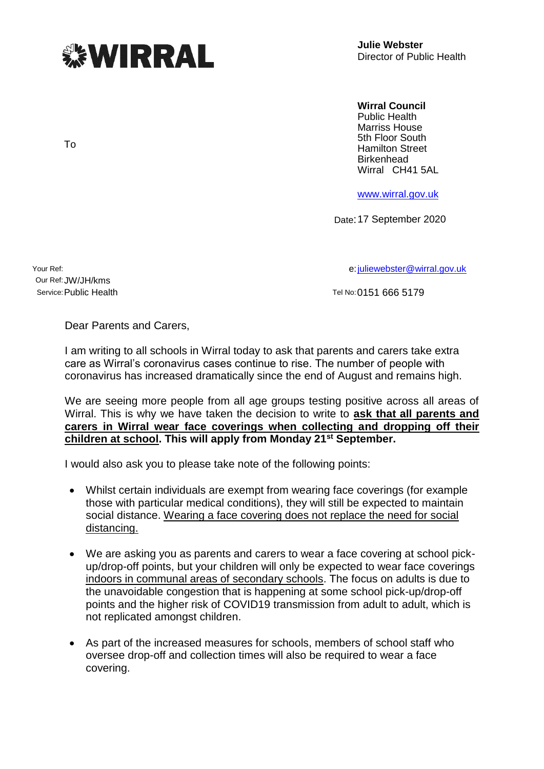

**Julie Webster** Director of Public Health

## **Wirral Council**

Public Health Marriss House 5th Floor South Hamilton Street **Birkenhead** Wirral CH41 5AL

[www.wirral.gov.uk](http://www.wirral.gov.uk/)

Date:17 September 2020

Our Ref:JW/JH/kms

Your Ref: e[:juliewebster@wirral.gov.uk](mailto:juliewebster@wirral.gov.uk)

Service: Public Health Tel No:0151 666 5179

Dear Parents and Carers,

I am writing to all schools in Wirral today to ask that parents and carers take extra care as Wirral's coronavirus cases continue to rise. The number of people with coronavirus has increased dramatically since the end of August and remains high.

We are seeing more people from all age groups testing positive across all areas of Wirral. This is why we have taken the decision to write to **ask that all parents and carers in Wirral wear face coverings when collecting and dropping off their children at school. This will apply from Monday 21st September.**

I would also ask you to please take note of the following points:

- Whilst certain individuals are exempt from wearing face coverings (for example those with particular medical conditions), they will still be expected to maintain social distance. Wearing a face covering does not replace the need for social distancing.
- We are asking you as parents and carers to wear a face covering at school pickup/drop-off points, but your children will only be expected to wear face coverings indoors in communal areas of secondary schools. The focus on adults is due to the unavoidable congestion that is happening at some school pick-up/drop-off points and the higher risk of COVID19 transmission from adult to adult, which is not replicated amongst children.
- As part of the increased measures for schools, members of school staff who oversee drop-off and collection times will also be required to wear a face covering.

To